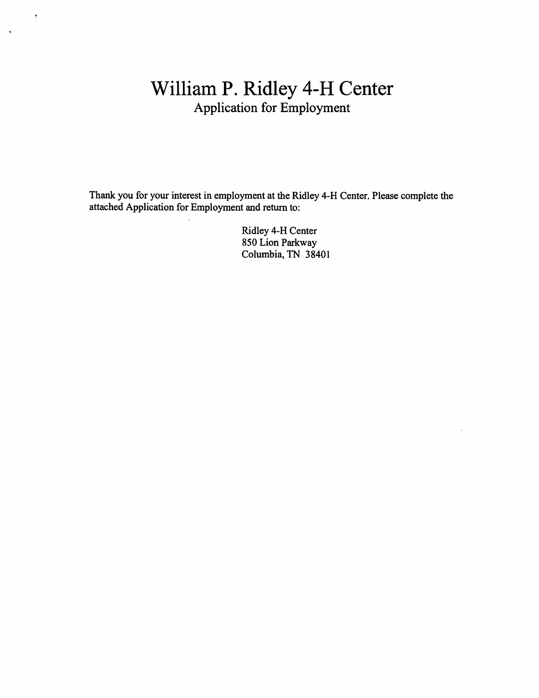# William P. Ridley 4-H Center Application for Employment

 $\bar{z}$ 

 $\sim$ 

Thank you for your interest in employment at the Ridley 4-H Center. Please complete the attached Application for Employment and return to:

> Ridley 4-H Center 850 Lion Parkway Columbia, TN 38401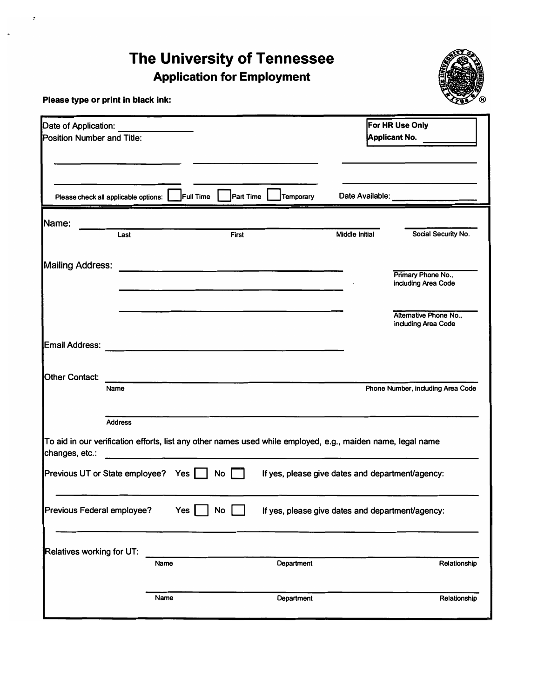# **The University of Tennessee Application for Employment**



**Please type or print in black ink:** 

| Date of Application:<br>Position Number and Title:                                                                            |                |                                                                                                                      |           |            |                 | For HR Use Only<br>Applicant No. __              |  |
|-------------------------------------------------------------------------------------------------------------------------------|----------------|----------------------------------------------------------------------------------------------------------------------|-----------|------------|-----------------|--------------------------------------------------|--|
| Please check all applicable options:                                                                                          |                | Full Time                                                                                                            | Part Time | Temporary  | Date Available: |                                                  |  |
| Name:                                                                                                                         |                |                                                                                                                      |           |            |                 |                                                  |  |
|                                                                                                                               | Last           |                                                                                                                      | First     |            | Middle Initial  | Social Security No.                              |  |
| <b>Mailing Address:</b>                                                                                                       |                | the control of the control of the control of the control of the control of                                           |           |            |                 | Primary Phone No.,<br>including Area Code        |  |
|                                                                                                                               |                |                                                                                                                      |           |            |                 | Alternative Phone No.,<br>including Area Code    |  |
| Email Address:                                                                                                                |                | <u> 1980 - Jan James James James James James James James James James James James James James James James James J</u> |           |            |                 |                                                  |  |
| <b>Other Contact:</b>                                                                                                         | Name           |                                                                                                                      |           |            |                 | Phone Number, including Area Code                |  |
|                                                                                                                               | <b>Address</b> |                                                                                                                      |           |            |                 |                                                  |  |
| To aid in our verification efforts, list any other names used while employed, e.g., maiden name, legal name<br>changes, etc.: |                |                                                                                                                      |           |            |                 |                                                  |  |
| Previous UT or State employee? Yes                                                                                            |                |                                                                                                                      | <b>No</b> |            |                 | If yes, please give dates and department/agency: |  |
| Previous Federal employee?                                                                                                    |                | Yes                                                                                                                  | <b>No</b> |            |                 | If yes, please give dates and department/agency: |  |
| Relatives working for UT:                                                                                                     |                |                                                                                                                      |           |            |                 |                                                  |  |
|                                                                                                                               |                | Name                                                                                                                 |           | Department |                 | Relationship                                     |  |
|                                                                                                                               |                | Name                                                                                                                 |           | Department |                 | Relationship                                     |  |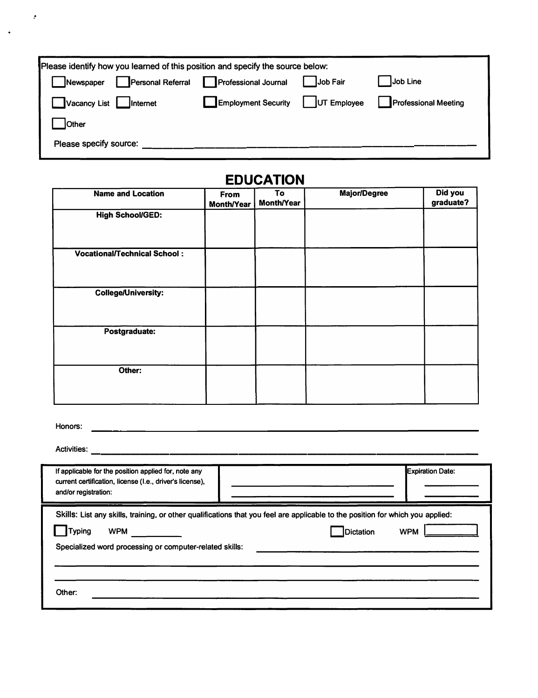| Please identify how you learned of this position and specify the source below: |                             |                 |                             |  |  |  |
|--------------------------------------------------------------------------------|-----------------------------|-----------------|-----------------------------|--|--|--|
| <b>Personal Referral</b><br>Newspaper                                          | <b>Professional Journal</b> | <b>Job Fair</b> | Job Line                    |  |  |  |
| Vacancy List<br><b>Internet</b>                                                | <b>Employment Security</b>  | UT Employee     | <b>Professional Meeting</b> |  |  |  |
| <b>Other</b>                                                                   |                             |                 |                             |  |  |  |
| Please specify source:                                                         |                             |                 |                             |  |  |  |

 $\bar{\mathcal{L}}$ 

# **EDUCATION**

| <b>Name and Location</b>            | From<br><b>Month/Year</b> | To<br><b>Month/Year</b> | <b>Major/Degree</b> | Did you<br>graduate? |
|-------------------------------------|---------------------------|-------------------------|---------------------|----------------------|
| <b>High School/GED:</b>             |                           |                         |                     |                      |
| <b>Vocational/Technical School:</b> |                           |                         |                     |                      |
| <b>College/University:</b>          |                           |                         |                     |                      |
| Postgraduate:                       |                           |                         |                     |                      |
| Other:                              |                           |                         |                     |                      |

| Honors:                                                                                                                                                                                                                  |                                |
|--------------------------------------------------------------------------------------------------------------------------------------------------------------------------------------------------------------------------|--------------------------------|
| <b>Activities:</b>                                                                                                                                                                                                       |                                |
| If applicable for the position applied for, note any<br>current certification, license (I.e., driver's license),<br>and/or registration:                                                                                 | <b>Expiration Date:</b>        |
| Skills: List any skills, training, or other qualifications that you feel are applicable to the position for which you applied:<br><b>Typing</b><br><b>WPM</b><br>Specialized word processing or computer-related skills: | <b>Dictation</b><br><b>WPM</b> |
| Other:                                                                                                                                                                                                                   |                                |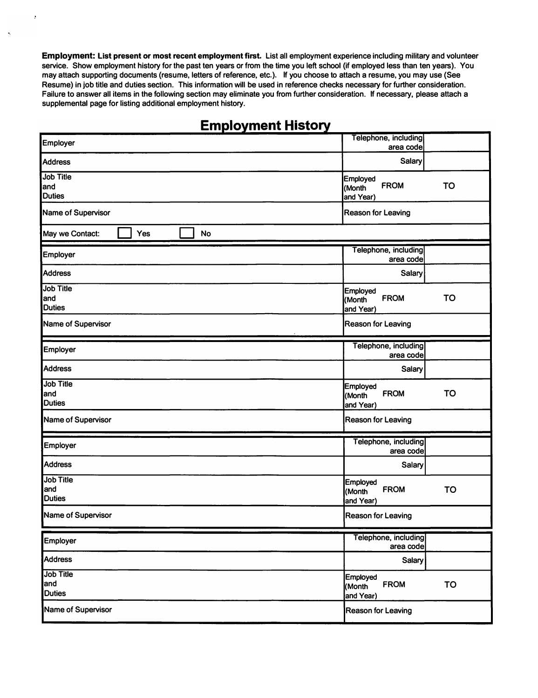**Employment: List present or most recent employment first. List all employment experience including military and volunteer service. Show employment history for the past ten years or from the time you left school (if employed less than ten years). You may attach supporting documents (resume, letters of reference, etc.). If you choose to attach a resume, you may use (See Resume) in job title and duties section. This information will be used in reference checks necessary for further consideration. Failure to answer all items in the following section may eliminate you from further consideration. If necessary, please attach a supplemental page for listing additional employment history.** 

 $\cdot$ 

## **Employment History**

| Employer                                 | Telephone, including<br>area code                                  |
|------------------------------------------|--------------------------------------------------------------------|
| <b>Address</b>                           | Salary                                                             |
| <b>Job Title</b><br>and<br><b>Duties</b> | Employed<br><b>FROM</b><br><b>TO</b><br>(Month<br>and Year)        |
| Name of Supervisor                       | <b>Reason for Leaving</b>                                          |
| May we Contact:<br>Yes<br><b>No</b>      |                                                                    |
| <b>Employer</b>                          | Telephone, including<br>area code                                  |
| <b>Address</b>                           | <b>Salary</b>                                                      |
| <b>Job Title</b><br>and<br><b>Duties</b> | <b>Employed</b><br><b>TO</b><br><b>FROM</b><br>(Month<br>and Year) |
| Name of Supervisor                       | <b>Reason for Leaving</b>                                          |
| <b>Employer</b>                          | Telephone, including<br>area code                                  |
| <b>Address</b>                           | Salary                                                             |
| <b>Job Title</b><br>land<br>Duties       | <b>Employed</b><br><b>TO</b><br><b>FROM</b><br>(Month<br>and Year) |
| Name of Supervisor                       | <b>Reason for Leaving</b>                                          |
| Employer                                 | Telephone, including<br>area code                                  |
| <b>Address</b>                           | Salary                                                             |
| <b>Job Title</b><br>and<br><b>Duties</b> | <b>Employed</b><br><b>TO</b><br><b>FROM</b><br>(Month<br>and Year) |
| Name of Supervisor                       | <b>Reason for Leaving</b>                                          |
| <b>Employer</b>                          | Telephone, including<br>area code                                  |
| <b>Address</b>                           | Salary                                                             |
| <b>Job Title</b><br>and<br><b>Duties</b> | <b>Employed</b><br><b>FROM</b><br><b>TO</b><br>(Month<br>and Year) |
| Name of Supervisor                       | <b>Reason for Leaving</b>                                          |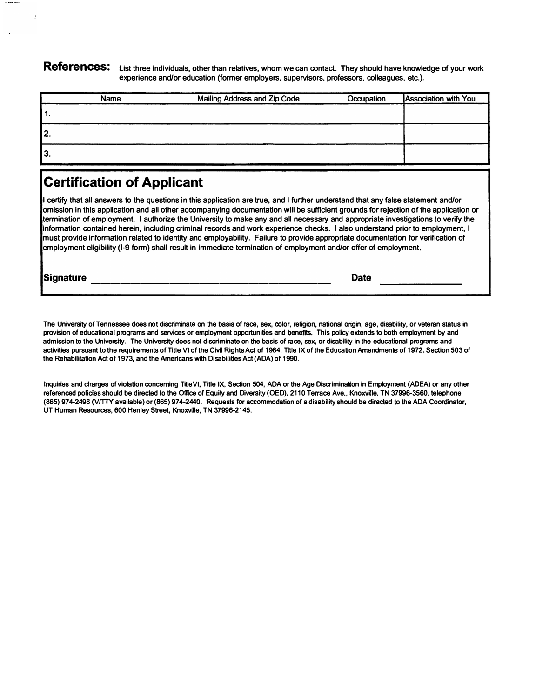**References: List three individuals, other than relatives, whom we can contact. They should have knowledge of your work experience and/or education (former employers, supervisors, professors, colleagues, etc.).** 

| Name | Mailing Address and Zip Code | Occupation | <b>Association with You</b> |
|------|------------------------------|------------|-----------------------------|
| 11.  |                              |            |                             |
| 2.   |                              |            |                             |
| 3.   |                              |            |                             |

## **Certification of Applicant**

**I certify that all answers to the questions in this application are true, and I further understand that any false statement and/or omission in this application and all other accompanying documentation will be sufficient grounds for rejection of the application or termination of employment. I authorize the University to make any and all necessary and appropriate investigations to verify the information contained herein, including criminal records and work experience checks. I also understand prior to employment, I must provide information related to identity and employability. Failure to provide appropriate documentation for verification of employment eligibility {1-9 form) shall result in immediate termination of employment and/or offer of employment.** 

**Signature Date Date** 

 $\cdot$ 

**The University of Tennessee does not discriminate on the basis of race, sex, color, religion, national origin, age, disability, or veteran status in provision of educational programs and services or employment opportunities and benefits. This policy extends to both employment by and admission to the University. The University does not discriminate on the basis of race, sex, or disability in the educational programs and activities pursuant to the requirements of Title VI of the Civil Rights Act of 1964, Title IX of the Education Amendments of 1972, Section 503 of the Rehabilitation Act of 1973, and the Americans with Disabilities Act {ADA) of 1990.** 

**Inquiries and charges of violation concerning Title VI, Title IX, Section 504, ADA or the Age Discrimination in Employment {ACEA) or any other referenced policies should be directed to the Office of Equity and Diversity (OED), 2110 Terrace Ave., Knoxville, TN 37996-3560, telephone (865) 974-2498 (VITTY available) or (865) 974-2440. Requests for accommodation of a disability should be directed to the ADA Coordinator, UT Human Resources, 600 Henley Street, Knoxville, TN 37996-2145.**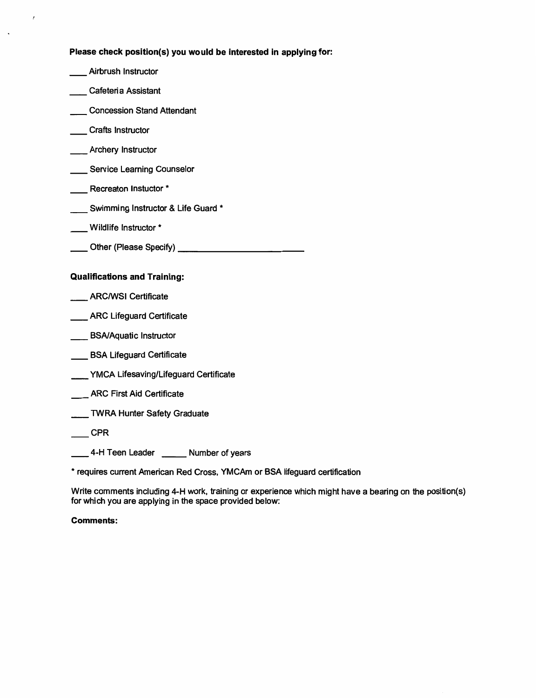Please check position(s) you would be interested in applying for:

- \_Airbrush Instructor Cafeteria Assistant Concession Stand Attendant \_\_ Crafts Instructor \_\_\_ Archery Instructor Service Learning Counselor - Recreaton Instuctor \* \_\_\_ Swimming Instructor & Life Guard \* \_\_ Wildlife Instructor \* **Qualifications and Training:** \_\_ ARC/WSI Certificate \_\_\_ ARC Lifeguard Certificate \_\_\_\_ BSA/Aquatic Instructor BSA Lifeguard Certificate \_\_\_\_ YMCA Lifesaving/Lifeguard Certificate \_\_\_ ARC First Aid Certificate
- TWRA Hunter Safety Graduate
- $\equiv$  CPR

 $\mathbf{r}$ 

4-H Teen Leader \_\_\_\_\_\_ Number of years

\* requires current American Red Cross, YMCAm or BSA lifeguard certification

Write comments including 4-H work, training or experience which might have a bearing on the position(s) for which you are applying in the space provided below:

### **Comments:**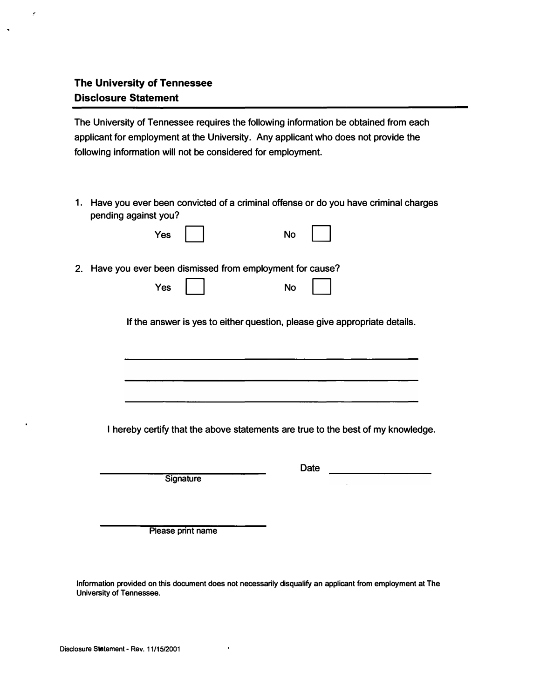### **The University of Tennessee Disclosure Statement**

 $\hat{\mathcal{E}}$ 

 $\ddot{\phantom{0}}$ 

 $\ddot{\phantom{1}}$ 

**The University of Tennessee requires the following information be obtained from each applicant for employment at the University. Any applicant who does not provide the following information will not be considered for employment.** 

**1. Have you ever been convicted of a criminal offense or do you have criminal charges pending against you?**

|    | pending against you?                                                             |
|----|----------------------------------------------------------------------------------|
|    | Yes<br><b>No</b>                                                                 |
| 2. | Have you ever been dismissed from employment for cause?                          |
|    | Yes<br><b>No</b>                                                                 |
|    | If the answer is yes to either question, please give appropriate details.        |
|    |                                                                                  |
|    |                                                                                  |
|    |                                                                                  |
|    |                                                                                  |
|    | I hereby certify that the above statements are true to the best of my knowledge. |
|    |                                                                                  |
|    | Date<br>Signature                                                                |
|    |                                                                                  |
|    |                                                                                  |
|    | Please print name                                                                |

**Information provided on this document does not necessarily disqualify an applicant from employment at The University of Tennessee.** 

 $\ddot{\phantom{1}}$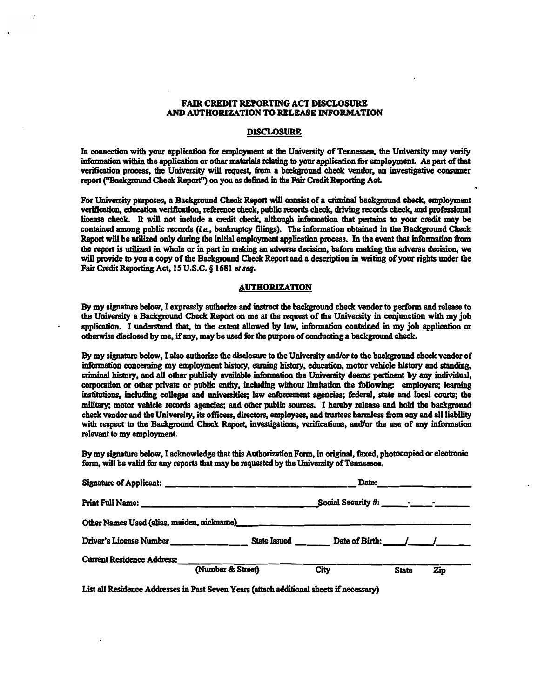### **AND AUTBQRIZATION TO BELEASE INFORMATION FAIR CREDIT REPORTING ACT DISCLOSURE**

### **DISCLOSURE**

**In connection with your application for employment at the University of Tennessee., the Univenity may verify information within the application or other materials relating to your application for employment. AB part of that verification process, the University will request, tiom a background check vendor, an investigative consumer**  report ("Background Check Report") on you as defined in the Fair Credit Reporting Act.

For University purposes, a Background Check Report will consist of a criminal background check, employment **verification, education verification, reference check, public records check, driving records check, and professional**  license check. It will not include a credit check, although information that pertains to your credit may be contained among public records (i.e., bankruptcy filings). The information obtained in the Background Check **Report will be utilized only during the initial employment application process. In the event that informacion from the report is utilized in whole or in part in making an adverse decision, before making the adverse decision. we will provide to you a copy of the Background Check Report and a description in writing of your rights under the**  Fair Credit Reporting Act, 15 U.S.C. § 1681 et seq.

#### **AUTHORIZATION**

**By my signature below, I expressly authorize and instruct the background check vendor to perform and release to the University a Background Check Report on me at the request of the Univenity in conjunction with my job application. I understand that, to the extent allowed by law. infonnation contained in my job application or otherwise disclosed by me, if any, may be used for the purpose of conducting a background check.** 

**By my signature below, I also authorize the disclosure to the University and/or to the background check vendor of criminal history, and all other publicly available information the University deems pertinent by any individual,**  information concerning my employment history, earning history, education, motor vehicle history and standing, corporation or other private or public entity, including without limitation the following: employers; learning **institutions, including colleges and universities; law enforcement agencies; federal, state and local courts; the military; motor vehicle records agencies; and other public sources. I hereby release and hold the background**  check vendor and the University, its officers, directors, employees, and trustees harmless from any and all liability **with respect to the Background Check Report, investigations. verifications, and/or the use of any information relevant to my employment.** 

**By my signature below, I acknowledge that this Authorization Form, in original, faxed, photocopied or electronic form, will be valid for any reports that may be requested by the University of Tennessee.** 

| <b>Signature of Applicant:</b>             | للمستحدث والمستحدث والمستحدث والمستحدث والمستحدث | Date:               |              |     |  |
|--------------------------------------------|--------------------------------------------------|---------------------|--------------|-----|--|
| <b>Print Full Name:</b>                    |                                                  |                     |              |     |  |
| Other Names Used (alias, maiden, nickname) |                                                  |                     |              |     |  |
| Driver's License Number                    | <b>State Issued</b>                              | Date of Birth: $1/$ |              |     |  |
| <b>Current Residence Address:</b>          |                                                  |                     |              |     |  |
|                                            | (Number & Street)                                | <b>City</b>         | <b>State</b> | Zip |  |

**List all Residence Addresses in Past Seven Years (attach additional sheets if necessary)**